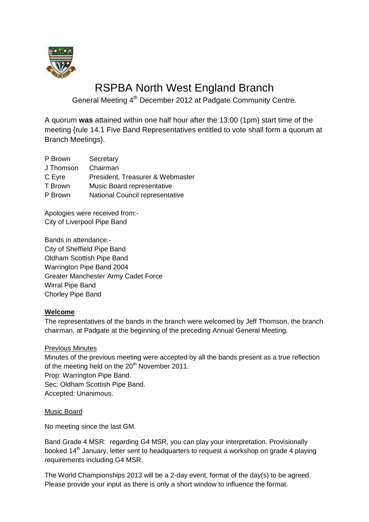

# RSPBA North West England Branch

General Meeting 4<sup>th</sup> December 2012 at Padgate Community Centre.

A quorum **was** attained within one half hour after the 13:00 (1pm) start time of the meeting {rule 14.1 Five Band Representatives entitled to vote shall form a quorum at Branch Meetings}.

| P Brown   | Secretary                        |
|-----------|----------------------------------|
| J Thomson | Chairman                         |
| C Eyre    | President, Treasurer & Webmaster |
| T Brown   | Music Board representative       |
| P Brown   | National Council representative  |
|           |                                  |

Apologies were received from:- City of Liverpool Pipe Band

Bands in attendance:- City of Sheffield Pipe Band Oldham Scottish Pipe Band Warrington Pipe Band 2004 Greater Manchester Army Cadet Force Wirral Pipe Band Chorley Pipe Band

# **Welcome**

The representatives of the bands in the branch were welcomed by Jeff Thomson, the branch chairman, at Padgate at the beginning of the preceding Annual General Meeting.

# Previous Minutes

Minutes of the previous meeting were accepted by all the bands present as a true reflection of the meeting held on the 20<sup>th</sup> November 2011. Prop: Warrington Pipe Band.

Sec: Oldham Scottish Pipe Band. Accepted: Unanimous.

# Music Board

No meeting since the last GM.

Band Grade 4 MSR: regarding G4 MSR, you can play your interpretation. Provisionally booked 14<sup>th</sup> January, letter sent to headquarters to request a workshop on grade 4 playing requirements including G4 MSR.

The World Championships 2013 will be a 2-day event, format of the day(s) to be agreed. Please provide your input as there is only a short window to influence the format.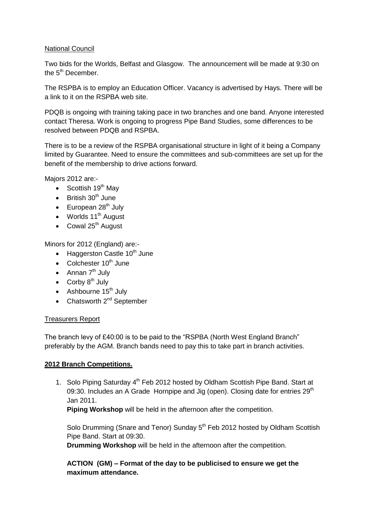## National Council

Two bids for the Worlds, Belfast and Glasgow. The announcement will be made at 9:30 on the 5<sup>th</sup> December.

The RSPBA is to employ an Education Officer. Vacancy is advertised by Hays. There will be a link to it on the RSPBA web site.

PDQB is ongoing with training taking pace in two branches and one band. Anyone interested contact Theresa. Work is ongoing to progress Pipe Band Studies, some differences to be resolved between PDQB and RSPBA.

There is to be a review of the RSPBA organisational structure in light of it being a Company limited by Guarantee. Need to ensure the committees and sub-committees are set up for the benefit of the membership to drive actions forward.

Majors 2012 are:-

- $\bullet$  Scottish 19<sup>th</sup> May
- $\bullet$  British 30<sup>th</sup> June
- $\bullet$  European 28<sup>th</sup> July
- $\bullet$  Worlds 11<sup>th</sup> August
- $\bullet$  Cowal 25<sup>th</sup> August

Minors for 2012 (England) are:-

- $\bullet$  Haggerston Castle 10<sup>th</sup> June
- Colchester  $10^{th}$  June
- Annan  $7<sup>th</sup>$  July
- Corby  $8^{th}$  July
- $\bullet$  Ashbourne 15<sup>th</sup> July
- Chatsworth  $2^{nd}$  September

## Treasurers Report

The branch levy of £40:00 is to be paid to the "RSPBA (North West England Branch" preferably by the AGM. Branch bands need to pay this to take part in branch activities.

## **2012 Branch Competitions.**

1. Solo Piping Saturday 4<sup>th</sup> Feb 2012 hosted by Oldham Scottish Pipe Band. Start at 09:30. Includes an A Grade Hornpipe and Jig (open). Closing date for entries  $29<sup>th</sup>$ Jan 2011.

**Piping Workshop** will be held in the afternoon after the competition.

Solo Drumming (Snare and Tenor) Sunday 5<sup>th</sup> Feb 2012 hosted by Oldham Scottish Pipe Band. Start at 09:30.

**Drumming Workshop** will be held in the afternoon after the competition.

**ACTION (GM) – Format of the day to be publicised to ensure we get the maximum attendance.**